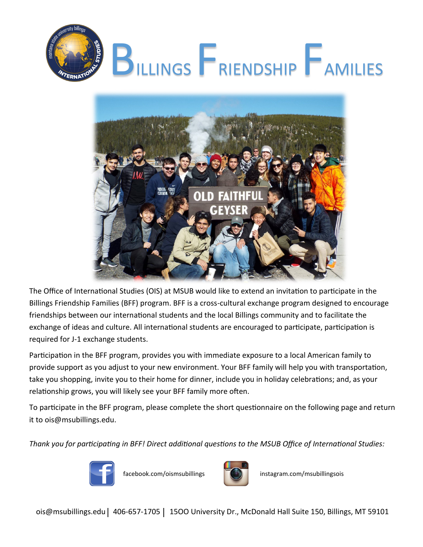



The Office of International Studies (OIS) at MSUB would like to extend an invitation to participate in the Billings Friendship Families (BFF) program. BFF is a cross-cultural exchange program designed to encourage friendships between our international students and the local Billings community and to facilitate the exchange of ideas and culture. All international students are encouraged to participate, participation is required for J-1 exchange students.

Participation in the BFF program, provides you with immediate exposure to a local American family to provide support as you adjust to your new environment. Your BFF family will help you with transportation, take you shopping, invite you to their home for dinner, include you in holiday celebrations; and, as your relationship grows, you will likely see your BFF family more often.

To participate in the BFF program, please complete the short questionnaire on the following page and return it to ois@msubillings.edu.

*Thank you for participating in BFF! Direct additional questions to the MSUB Office of International Studies:* 





facebook.com/oismsubillings | (C) instagram.com/msubillingsois